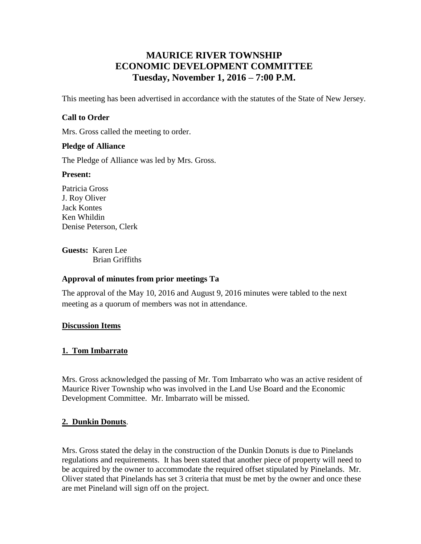# **MAURICE RIVER TOWNSHIP ECONOMIC DEVELOPMENT COMMITTEE Tuesday, November 1, 2016 – 7:00 P.M.**

This meeting has been advertised in accordance with the statutes of the State of New Jersey.

## **Call to Order**

Mrs. Gross called the meeting to order.

#### **Pledge of Alliance**

The Pledge of Alliance was led by Mrs. Gross.

#### **Present:**

Patricia Gross J. Roy Oliver Jack Kontes Ken Whildin Denise Peterson, Clerk

**Guests:** Karen Lee Brian Griffiths

#### **Approval of minutes from prior meetings Ta**

The approval of the May 10, 2016 and August 9, 2016 minutes were tabled to the next meeting as a quorum of members was not in attendance.

#### **Discussion Items**

#### **1. Tom Imbarrato**

Mrs. Gross acknowledged the passing of Mr. Tom Imbarrato who was an active resident of Maurice River Township who was involved in the Land Use Board and the Economic Development Committee. Mr. Imbarrato will be missed.

#### **2. Dunkin Donuts**.

Mrs. Gross stated the delay in the construction of the Dunkin Donuts is due to Pinelands regulations and requirements. It has been stated that another piece of property will need to be acquired by the owner to accommodate the required offset stipulated by Pinelands. Mr. Oliver stated that Pinelands has set 3 criteria that must be met by the owner and once these are met Pineland will sign off on the project.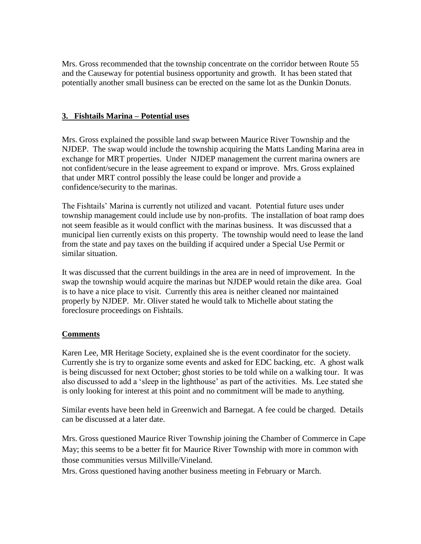Mrs. Gross recommended that the township concentrate on the corridor between Route 55 and the Causeway for potential business opportunity and growth. It has been stated that potentially another small business can be erected on the same lot as the Dunkin Donuts.

## **3. Fishtails Marina – Potential uses**

Mrs. Gross explained the possible land swap between Maurice River Township and the NJDEP. The swap would include the township acquiring the Matts Landing Marina area in exchange for MRT properties. Under NJDEP management the current marina owners are not confident/secure in the lease agreement to expand or improve. Mrs. Gross explained that under MRT control possibly the lease could be longer and provide a confidence/security to the marinas.

The Fishtails' Marina is currently not utilized and vacant. Potential future uses under township management could include use by non-profits. The installation of boat ramp does not seem feasible as it would conflict with the marinas business. It was discussed that a municipal lien currently exists on this property. The township would need to lease the land from the state and pay taxes on the building if acquired under a Special Use Permit or similar situation.

It was discussed that the current buildings in the area are in need of improvement. In the swap the township would acquire the marinas but NJDEP would retain the dike area. Goal is to have a nice place to visit. Currently this area is neither cleaned nor maintained properly by NJDEP. Mr. Oliver stated he would talk to Michelle about stating the foreclosure proceedings on Fishtails.

#### **Comments**

Karen Lee, MR Heritage Society, explained she is the event coordinator for the society. Currently she is try to organize some events and asked for EDC backing, etc. A ghost walk is being discussed for next October; ghost stories to be told while on a walking tour. It was also discussed to add a 'sleep in the lighthouse' as part of the activities. Ms. Lee stated she is only looking for interest at this point and no commitment will be made to anything.

Similar events have been held in Greenwich and Barnegat. A fee could be charged. Details can be discussed at a later date.

Mrs. Gross questioned Maurice River Township joining the Chamber of Commerce in Cape May; this seems to be a better fit for Maurice River Township with more in common with those communities versus Millville/Vineland.

Mrs. Gross questioned having another business meeting in February or March.